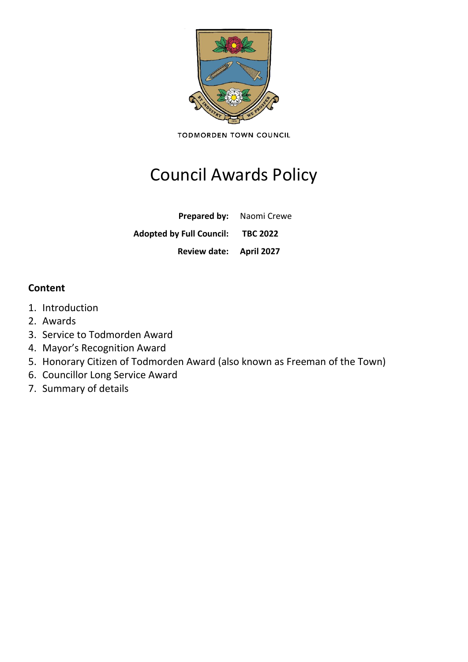

**TODMORDEN TOWN COUNCIL** 

# Council Awards Policy

**Prepared by:** Naomi Crewe

**Adopted by Full Council: TBC 2022**

**Review date: April 2027**

# **Content**

- 1. Introduction
- 2. Awards
- 3. Service to Todmorden Award
- 4. Mayor's Recognition Award
- 5. Honorary Citizen of Todmorden Award (also known as Freeman of the Town)
- 6. Councillor Long Service Award
- 7. Summary of details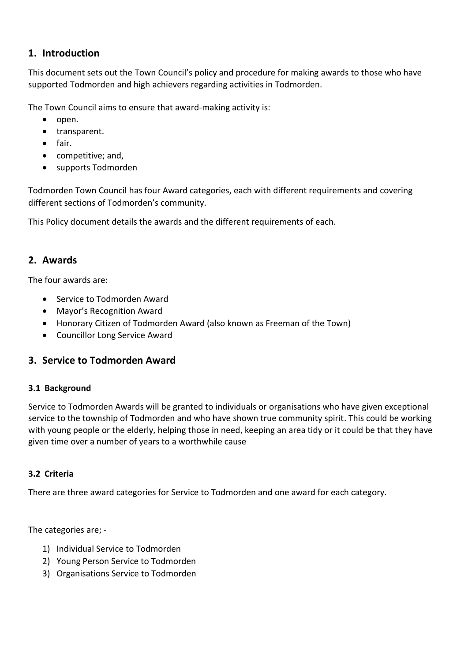# **1. Introduction**

This document sets out the Town Council's policy and procedure for making awards to those who have supported Todmorden and high achievers regarding activities in Todmorden.

The Town Council aims to ensure that award-making activity is:

- open.
- transparent.
- fair.
- competitive; and,
- supports Todmorden

Todmorden Town Council has four Award categories, each with different requirements and covering different sections of Todmorden's community.

This Policy document details the awards and the different requirements of each.

# **2. Awards**

The four awards are:

- Service to Todmorden Award
- Mayor's Recognition Award
- Honorary Citizen of Todmorden Award (also known as Freeman of the Town)
- Councillor Long Service Award

# **3. Service to Todmorden Award**

# **3.1 Background**

Service to Todmorden Awards will be granted to individuals or organisations who have given exceptional service to the township of Todmorden and who have shown true community spirit. This could be working with young people or the elderly, helping those in need, keeping an area tidy or it could be that they have given time over a number of years to a worthwhile cause

# **3.2 Criteria**

There are three award categories for Service to Todmorden and one award for each category.

The categories are; -

- 1) Individual Service to Todmorden
- 2) Young Person Service to Todmorden
- 3) Organisations Service to Todmorden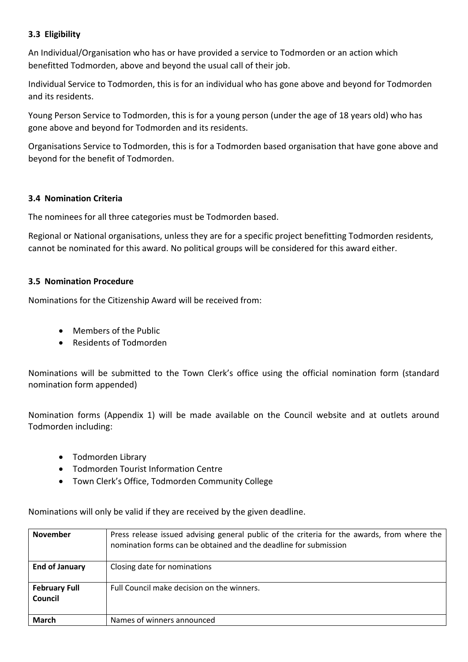### **3.3 Eligibility**

An Individual/Organisation who has or have provided a service to Todmorden or an action which benefitted Todmorden, above and beyond the usual call of their job.

Individual Service to Todmorden, this is for an individual who has gone above and beyond for Todmorden and its residents.

Young Person Service to Todmorden, this is for a young person (under the age of 18 years old) who has gone above and beyond for Todmorden and its residents.

Organisations Service to Todmorden, this is for a Todmorden based organisation that have gone above and beyond for the benefit of Todmorden.

### **3.4 Nomination Criteria**

The nominees for all three categories must be Todmorden based.

Regional or National organisations, unless they are for a specific project benefitting Todmorden residents, cannot be nominated for this award. No political groups will be considered for this award either.

### **3.5 Nomination Procedure**

Nominations for the Citizenship Award will be received from:

- Members of the Public
- Residents of Todmorden

Nominations will be submitted to the Town Clerk's office using the official nomination form (standard nomination form appended)

Nomination forms (Appendix 1) will be made available on the Council website and at outlets around Todmorden including:

- Todmorden Library
- Todmorden Tourist Information Centre
- Town Clerk's Office, Todmorden Community College

Nominations will only be valid if they are received by the given deadline.

| <b>November</b>                 | Press release issued advising general public of the criteria for the awards, from where the<br>nomination forms can be obtained and the deadline for submission |  |  |  |
|---------------------------------|-----------------------------------------------------------------------------------------------------------------------------------------------------------------|--|--|--|
| <b>End of January</b>           | Closing date for nominations                                                                                                                                    |  |  |  |
| <b>February Full</b><br>Council | Full Council make decision on the winners.                                                                                                                      |  |  |  |
| <b>March</b>                    | Names of winners announced                                                                                                                                      |  |  |  |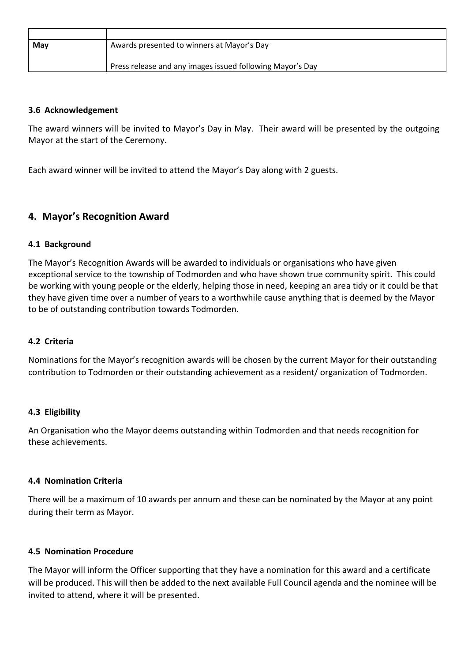| May | Awards presented to winners at Mayor's Day                |
|-----|-----------------------------------------------------------|
|     |                                                           |
|     | Press release and any images issued following Mayor's Day |

#### **3.6 Acknowledgement**

The award winners will be invited to Mayor's Day in May. Their award will be presented by the outgoing Mayor at the start of the Ceremony.

Each award winner will be invited to attend the Mayor's Day along with 2 guests.

# **4. Mayor's Recognition Award**

#### **4.1 Background**

The Mayor's Recognition Awards will be awarded to individuals or organisations who have given exceptional service to the township of Todmorden and who have shown true community spirit. This could be working with young people or the elderly, helping those in need, keeping an area tidy or it could be that they have given time over a number of years to a worthwhile cause anything that is deemed by the Mayor to be of outstanding contribution towards Todmorden.

#### **4.2 Criteria**

Nominations for the Mayor's recognition awards will be chosen by the current Mayor for their outstanding contribution to Todmorden or their outstanding achievement as a resident/ organization of Todmorden.

#### **4.3 Eligibility**

An Organisation who the Mayor deems outstanding within Todmorden and that needs recognition for these achievements.

#### **4.4 Nomination Criteria**

There will be a maximum of 10 awards per annum and these can be nominated by the Mayor at any point during their term as Mayor.

#### **4.5 Nomination Procedure**

The Mayor will inform the Officer supporting that they have a nomination for this award and a certificate will be produced. This will then be added to the next available Full Council agenda and the nominee will be invited to attend, where it will be presented.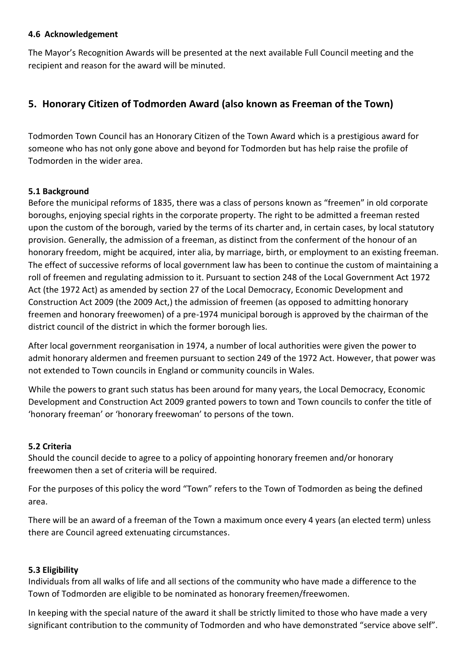#### **4.6 Acknowledgement**

The Mayor's Recognition Awards will be presented at the next available Full Council meeting and the recipient and reason for the award will be minuted.

# **5. Honorary Citizen of Todmorden Award (also known as Freeman of the Town)**

Todmorden Town Council has an Honorary Citizen of the Town Award which is a prestigious award for someone who has not only gone above and beyond for Todmorden but has help raise the profile of Todmorden in the wider area.

# **5.1 Background**

Before the municipal reforms of 1835, there was a class of persons known as "freemen" in old corporate boroughs, enjoying special rights in the corporate property. The right to be admitted a freeman rested upon the custom of the borough, varied by the terms of its charter and, in certain cases, by local statutory provision. Generally, the admission of a freeman, as distinct from the conferment of the honour of an honorary freedom, might be acquired, inter alia, by marriage, birth, or employment to an existing freeman. The effect of successive reforms of local government law has been to continue the custom of maintaining a roll of freemen and regulating admission to it. Pursuant to section 248 of the Local Government Act 1972 Act (the 1972 Act) as amended by section 27 of the Local Democracy, Economic Development and Construction Act 2009 (the 2009 Act,) the admission of freemen (as opposed to admitting honorary freemen and honorary freewomen) of a pre-1974 municipal borough is approved by the chairman of the district council of the district in which the former borough lies.

After local government reorganisation in 1974, a number of local authorities were given the power to admit honorary aldermen and freemen pursuant to section 249 of the 1972 Act. However, that power was not extended to Town councils in England or community councils in Wales.

While the powers to grant such status has been around for many years, the Local Democracy, Economic Development and Construction Act 2009 granted powers to town and Town councils to confer the title of 'honorary freeman' or 'honorary freewoman' to persons of the town.

#### **5.2 Criteria**

Should the council decide to agree to a policy of appointing honorary freemen and/or honorary freewomen then a set of criteria will be required.

For the purposes of this policy the word "Town" refers to the Town of Todmorden as being the defined area.

There will be an award of a freeman of the Town a maximum once every 4 years (an elected term) unless there are Council agreed extenuating circumstances.

#### **5.3 Eligibility**

Individuals from all walks of life and all sections of the community who have made a difference to the Town of Todmorden are eligible to be nominated as honorary freemen/freewomen.

In keeping with the special nature of the award it shall be strictly limited to those who have made a very significant contribution to the community of Todmorden and who have demonstrated "service above self".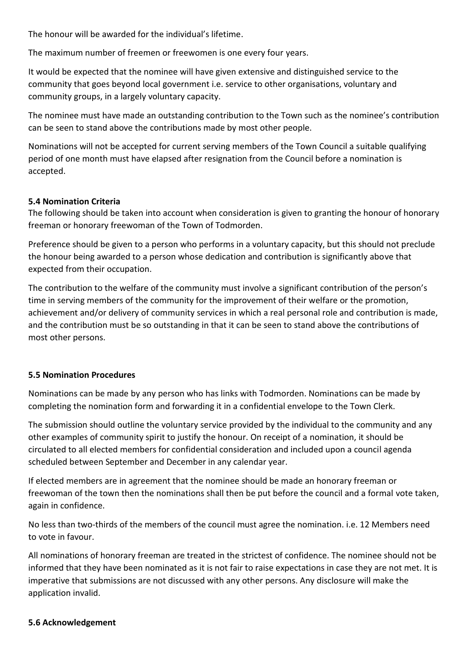The honour will be awarded for the individual's lifetime.

The maximum number of freemen or freewomen is one every four years.

It would be expected that the nominee will have given extensive and distinguished service to the community that goes beyond local government i.e. service to other organisations, voluntary and community groups, in a largely voluntary capacity.

The nominee must have made an outstanding contribution to the Town such as the nominee's contribution can be seen to stand above the contributions made by most other people.

Nominations will not be accepted for current serving members of the Town Council a suitable qualifying period of one month must have elapsed after resignation from the Council before a nomination is accepted.

### **5.4 Nomination Criteria**

The following should be taken into account when consideration is given to granting the honour of honorary freeman or honorary freewoman of the Town of Todmorden.

Preference should be given to a person who performs in a voluntary capacity, but this should not preclude the honour being awarded to a person whose dedication and contribution is significantly above that expected from their occupation.

The contribution to the welfare of the community must involve a significant contribution of the person's time in serving members of the community for the improvement of their welfare or the promotion, achievement and/or delivery of community services in which a real personal role and contribution is made, and the contribution must be so outstanding in that it can be seen to stand above the contributions of most other persons.

# **5.5 Nomination Procedures**

Nominations can be made by any person who has links with Todmorden. Nominations can be made by completing the nomination form and forwarding it in a confidential envelope to the Town Clerk.

The submission should outline the voluntary service provided by the individual to the community and any other examples of community spirit to justify the honour. On receipt of a nomination, it should be circulated to all elected members for confidential consideration and included upon a council agenda scheduled between September and December in any calendar year.

If elected members are in agreement that the nominee should be made an honorary freeman or freewoman of the town then the nominations shall then be put before the council and a formal vote taken, again in confidence.

No less than two-thirds of the members of the council must agree the nomination. i.e. 12 Members need to vote in favour.

All nominations of honorary freeman are treated in the strictest of confidence. The nominee should not be informed that they have been nominated as it is not fair to raise expectations in case they are not met. It is imperative that submissions are not discussed with any other persons. Any disclosure will make the application invalid.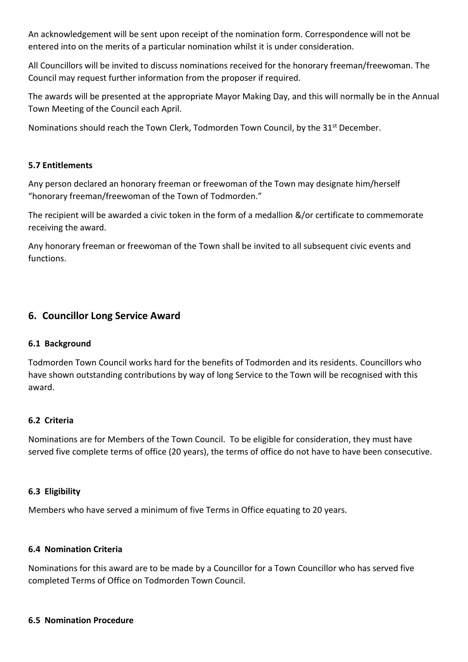An acknowledgement will be sent upon receipt of the nomination form. Correspondence will not be entered into on the merits of a particular nomination whilst it is under consideration.

All Councillors will be invited to discuss nominations received for the honorary freeman/freewoman. The Council may request further information from the proposer if required.

The awards will be presented at the appropriate Mayor Making Day, and this will normally be in the Annual Town Meeting of the Council each April.

Nominations should reach the Town Clerk, Todmorden Town Council, by the 31<sup>st</sup> December.

# **5.7 Entitlements**

Any person declared an honorary freeman or freewoman of the Town may designate him/herself "honorary freeman/freewoman of the Town of Todmorden."

The recipient will be awarded a civic token in the form of a medallion &/or certificate to commemorate receiving the award.

Any honorary freeman or freewoman of the Town shall be invited to all subsequent civic events and functions.

# **6. Councillor Long Service Award**

# **6.1 Background**

Todmorden Town Council works hard for the benefits of Todmorden and its residents. Councillors who have shown outstanding contributions by way of long Service to the Town will be recognised with this award.

# **6.2 Criteria**

Nominations are for Members of the Town Council. To be eligible for consideration, they must have served five complete terms of office (20 years), the terms of office do not have to have been consecutive.

# **6.3 Eligibility**

Members who have served a minimum of five Terms in Office equating to 20 years.

#### **6.4 Nomination Criteria**

Nominations for this award are to be made by a Councillor for a Town Councillor who has served five completed Terms of Office on Todmorden Town Council.